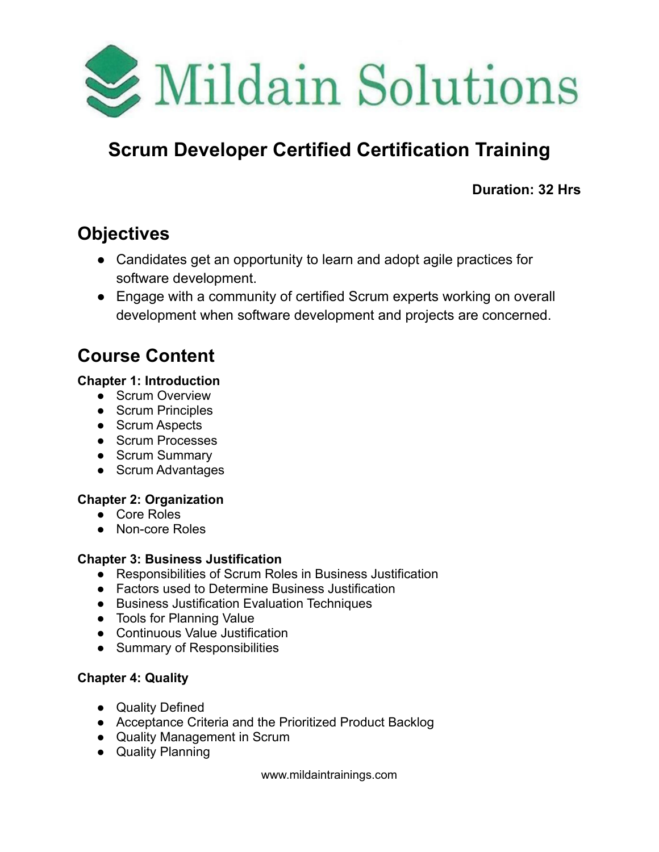

# **Scrum Developer Certified Certification Training**

**Duration: 32 Hrs**

## **Objectives**

- Candidates get an opportunity to learn and adopt agile practices for software development.
- Engage with a community of certified Scrum experts working on overall development when software development and projects are concerned.

## **Course Content**

### **Chapter 1: Introduction**

- Scrum Overview
- Scrum Principles
- Scrum Aspects
- Scrum Processes
- Scrum Summary
- Scrum Advantages

## **Chapter 2: Organization**

- Core Roles
- Non-core Roles

## **Chapter 3: Business Justification**

- Responsibilities of Scrum Roles in Business Justification
- Factors used to Determine Business Justification
- Business Justification Evaluation Techniques
- Tools for Planning Value
- Continuous Value Justification
- Summary of Responsibilities

## **Chapter 4: Quality**

- Quality Defined
- Acceptance Criteria and the Prioritized Product Backlog
- Quality Management in Scrum
- Quality Planning

www.mildaintrainings.com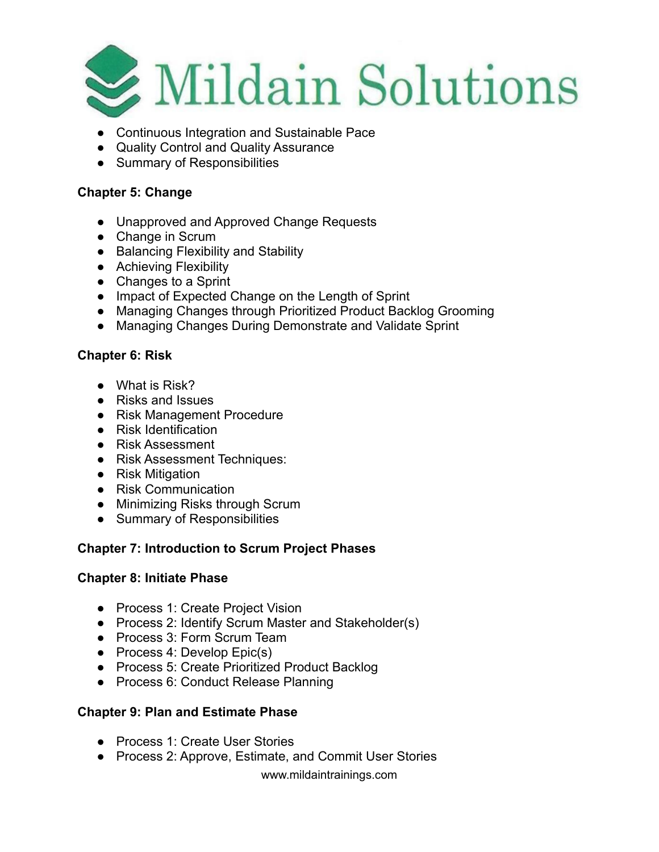

- Continuous Integration and Sustainable Pace
- Quality Control and Quality Assurance
- Summary of Responsibilities

#### **Chapter 5: Change**

- Unapproved and Approved Change Requests
- Change in Scrum
- Balancing Flexibility and Stability
- Achieving Flexibility
- Changes to a Sprint
- Impact of Expected Change on the Length of Sprint
- Managing Changes through Prioritized Product Backlog Grooming
- Managing Changes During Demonstrate and Validate Sprint

#### **Chapter 6: Risk**

- What is Risk?
- Risks and Issues
- Risk Management Procedure
- Risk Identification
- Risk Assessment
- Risk Assessment Techniques:
- Risk Mitigation
- Risk Communication
- Minimizing Risks through Scrum
- Summary of Responsibilities

#### **Chapter 7: Introduction to Scrum Project Phases**

#### **Chapter 8: Initiate Phase**

- Process 1: Create Project Vision
- Process 2: Identify Scrum Master and Stakeholder(s)
- Process 3: Form Scrum Team
- Process 4: Develop Epic(s)
- Process 5: Create Prioritized Product Backlog
- Process 6: Conduct Release Planning

#### **Chapter 9: Plan and Estimate Phase**

- Process 1: Create User Stories
- Process 2: Approve, Estimate, and Commit User Stories

www.mildaintrainings.com